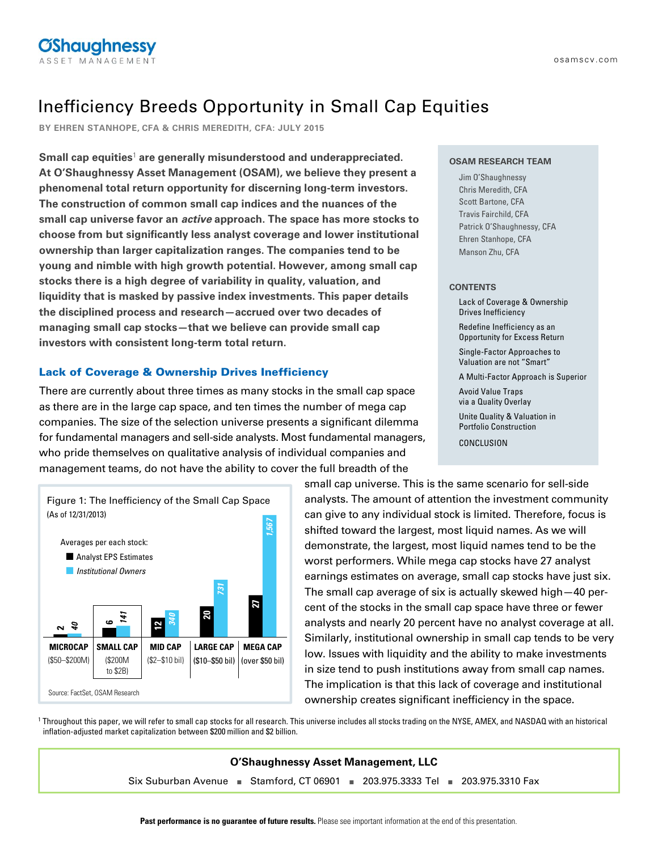# **OShaughnessy**

# Inefficiency Breeds Opportunity in Small Cap Equities

**BY EHREN STANHOPE, CFA & CHRIS MEREDITH, CFA: JULY 2015**

**Small cap equities**<sup>1</sup> **are generally misunderstood and underappreciated. At O'Shaughnessy Asset Management (OSAM), we believe they present a phenomenal total return opportunity for discerning long-term investors. The construction of common small cap indices and the nuances of the small cap universe favor an active approach. The space has more stocks to choose from but significantly less analyst coverage and lower institutional ownership than larger capitalization ranges. The companies tend to be young and nimble with high growth potential. However, among small cap stocks there is a high degree of variability in quality, valuation, and liquidity that is masked by passive index investments. This paper details the disciplined process and research—accrued over two decades of managing small cap stocks—that we believe can provide small cap investors with consistent long-term total return.**

# Lack of Coverage & Ownership Drives Inefficiency

There are currently about three times as many stocks in the small cap space as there are in the large cap space, and ten times the number of mega cap companies. The size of the selection universe presents a significant dilemma for fundamental managers and sell-side analysts. Most fundamental managers, who pride themselves on qualitative analysis of individual companies and management teams, do not have the ability to cover the full breadth of the



#### **OSAM RESEARCH TEAM**

Jim O'Shaughnessy Chris Meredith, CFA Scott Bartone, CFA Travis Fairchild, CFA Patrick O'Shaughnessy, CFA Ehren Stanhope, CFA Manson Zhu, CFA

#### **CONTENTS**

- Lack of Coverage & Ownership Drives Inefficiency Redefine Inefficiency as an Opportunity for Excess Return Single-Factor Approaches to Valuation are not "Smart" A Multi-Factor Approach is Superior Avoid Value Traps via a Quality Overlay Unite Quality & Valuation in Portfolio Construction
- CONCLUSION

small cap universe. This is the same scenario for sell-side analysts. The amount of attention the investment community can give to any individual stock is limited. Therefore, focus is shifted toward the largest, most liquid names. As we will demonstrate, the largest, most liquid names tend to be the worst performers. While mega cap stocks have 27 analyst earnings estimates on average, small cap stocks have just six. The small cap average of six is actually skewed high—40 percent of the stocks in the small cap space have three or fewer analysts and nearly 20 percent have no analyst coverage at all. Similarly, institutional ownership in small cap tends to be very low. Issues with liquidity and the ability to make investments in size tend to push institutions away from small cap names. The implication is that this lack of coverage and institutional ownership creates significant inefficiency in the space.

<sup>1</sup> Throughout this paper, we will refer to small cap stocks for all research. This universe includes all stocks trading on the NYSE, AMEX, and NASDAQ with an historical inflation-adjusted market capitalization between \$200 million and \$2 billion.

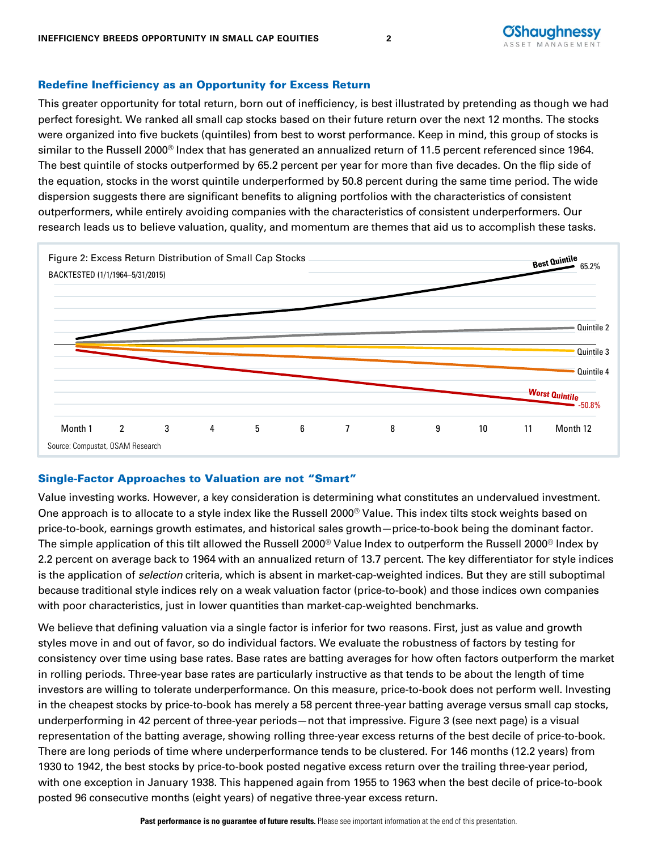# Redefine Inefficiency as an Opportunity for Excess Return

This greater opportunity for total return, born out of inefficiency, is best illustrated by pretending as though we had perfect foresight. We ranked all small cap stocks based on their future return over the next 12 months. The stocks were organized into five buckets (quintiles) from best to worst performance. Keep in mind, this group of stocks is similar to the Russell 2000<sup>®</sup> Index that has generated an annualized return of 11.5 percent referenced since 1964. The best quintile of stocks outperformed by 65.2 percent per year for more than five decades. On the flip side of the equation, stocks in the worst quintile underperformed by 50.8 percent during the same time period. The wide dispersion suggests there are significant benefits to aligning portfolios with the characteristics of consistent outperformers, while entirely avoiding companies with the characteristics of consistent underperformers. Our research leads us to believe valuation, quality, and momentum are themes that aid us to accomplish these tasks.



# Single-Factor Approaches to Valuation are not "Smart"

Value investing works. However, a key consideration is determining what constitutes an undervalued investment. One approach is to allocate to a style index like the Russell 2000<sup>®</sup> Value. This index tilts stock weights based on price-to-book, earnings growth estimates, and historical sales growth—price-to-book being the dominant factor. The simple application of this tilt allowed the Russell 2000® Value Index to outperform the Russell 2000® Index by 2.2 percent on average back to 1964 with an annualized return of 13.7 percent. The key differentiator for style indices is the application of *selection* criteria, which is absent in market-cap-weighted indices. But they are still suboptimal because traditional style indices rely on a weak valuation factor (price-to-book) and those indices own companies with poor characteristics, just in lower quantities than market-cap-weighted benchmarks.

We believe that defining valuation via a single factor is inferior for two reasons. First, just as value and growth styles move in and out of favor, so do individual factors. We evaluate the robustness of factors by testing for consistency over time using base rates. Base rates are batting averages for how often factors outperform the market in rolling periods. Three-year base rates are particularly instructive as that tends to be about the length of time investors are willing to tolerate underperformance. On this measure, price-to-book does not perform well. Investing in the cheapest stocks by price-to-book has merely a 58 percent three-year batting average versus small cap stocks, underperforming in 42 percent of three-year periods—not that impressive. Figure 3 (see next page) is a visual representation of the batting average, showing rolling three-year excess returns of the best decile of price-to-book. There are long periods of time where underperformance tends to be clustered. For 146 months (12.2 years) from 1930 to 1942, the best stocks by price-to-book posted negative excess return over the trailing three-year period, with one exception in January 1938. This happened again from 1955 to 1963 when the best decile of price-to-book posted 96 consecutive months (eight years) of negative three-year excess return.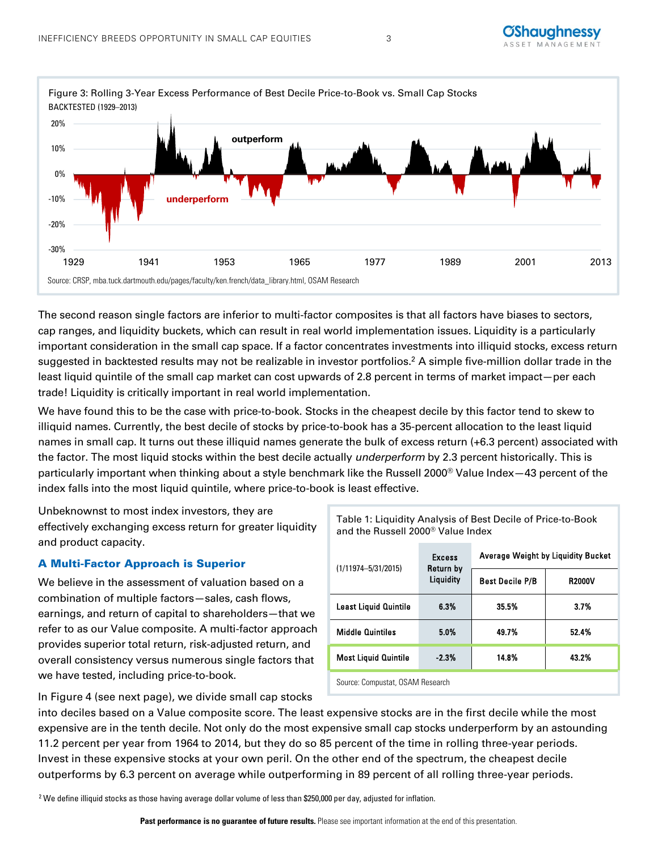

The second reason single factors are inferior to multi-factor composites is that all factors have biases to sectors, cap ranges, and liquidity buckets, which can result in real world implementation issues. Liquidity is a particularly important consideration in the small cap space. If a factor concentrates investments into illiquid stocks, excess return suggested in backtested results may not be realizable in investor portfolios.2 A simple five-million dollar trade in the least liquid quintile of the small cap market can cost upwards of 2.8 percent in terms of market impact—per each trade! Liquidity is critically important in real world implementation.

We have found this to be the case with price-to-book. Stocks in the cheapest decile by this factor tend to skew to illiquid names. Currently, the best decile of stocks by price-to-book has a 35-percent allocation to the least liquid names in small cap. It turns out these illiquid names generate the bulk of excess return (+6.3 percent) associated with the factor. The most liquid stocks within the best decile actually underperform by 2.3 percent historically. This is particularly important when thinking about a style benchmark like the Russell 2000® Value Index—43 percent of the index falls into the most liquid quintile, where price-to-book is least effective.

Unbeknownst to most index investors, they are effectively exchanging excess return for greater liquidity and product capacity.

# A Multi-Factor Approach is Superior

We believe in the assessment of valuation based on a combination of multiple factors—sales, cash flows, earnings, and return of capital to shareholders—that we refer to as our Value composite. A multi-factor approach provides superior total return, risk-adjusted return, and overall consistency versus numerous single factors that we have tested, including price-to-book.

| $(1/11974 - 5/31/2015)$          | <b>Excess</b><br>Return by<br>Liquidity | <b>Average Weight by Liquidity Bucket</b> |               |  |  |  |  |
|----------------------------------|-----------------------------------------|-------------------------------------------|---------------|--|--|--|--|
|                                  |                                         | <b>Best Decile P/B</b>                    | <b>R2000V</b> |  |  |  |  |
| <b>Least Liquid Quintile</b>     | 6.3%                                    | 35.5%                                     | 3.7%          |  |  |  |  |
| <b>Middle Quintiles</b>          | 5.0%                                    | 49.7%                                     | 52.4%         |  |  |  |  |
| <b>Most Liquid Quintile</b>      | $-2.3%$                                 | 14.8%                                     | 43.2%         |  |  |  |  |
| Source: Compustat, OSAM Research |                                         |                                           |               |  |  |  |  |

Table 1: Liquidity Analysis of Best Decile of Price-to-Book

and the Russell 2000® Value Index

In Figure 4 (see next page), we divide small cap stocks

into deciles based on a Value composite score. The least expensive stocks are in the first decile while the most expensive are in the tenth decile. Not only do the most expensive small cap stocks underperform by an astounding 11.2 percent per year from 1964 to 2014, but they do so 85 percent of the time in rolling three-year periods. Invest in these expensive stocks at your own peril. On the other end of the spectrum, the cheapest decile outperforms by 6.3 percent on average while outperforming in 89 percent of all rolling three-year periods.

<sup>2</sup> We define illiquid stocks as those having average dollar volume of less than \$250,000 per day, adjusted for inflation.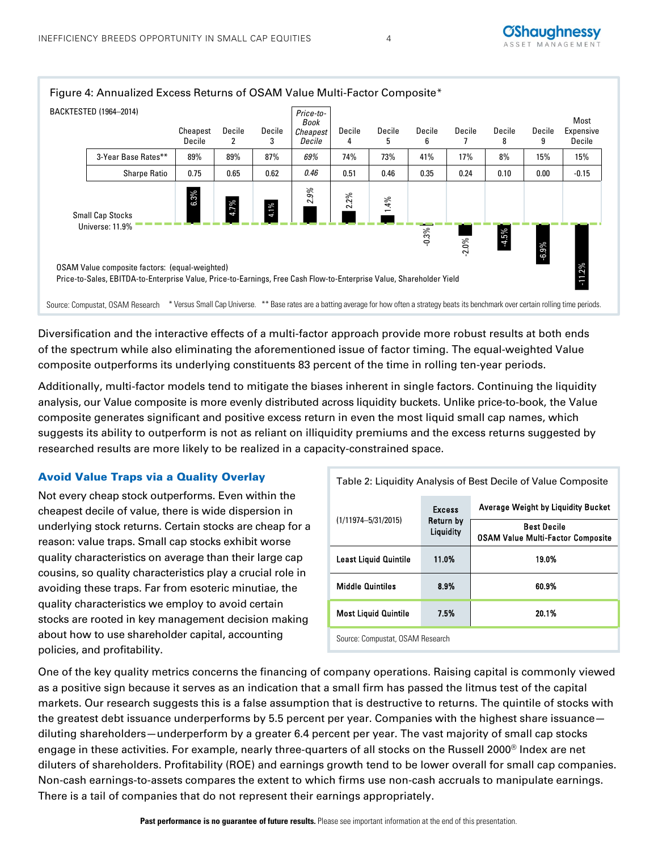

# Diversification and the interactive effects of a multi-factor approach provide more robust results at both ends of the spectrum while also eliminating the aforementioned issue of factor timing. The equal-weighted Value composite outperforms its underlying constituents 83 percent of the time in rolling ten-year periods.

Additionally, multi-factor models tend to mitigate the biases inherent in single factors. Continuing the liquidity analysis, our Value composite is more evenly distributed across liquidity buckets. Unlike price-to-book, the Value composite generates significant and positive excess return in even the most liquid small cap names, which suggests its ability to outperform is not as reliant on illiquidity premiums and the excess returns suggested by researched results are more likely to be realized in a capacity-constrained space.

# Avoid Value Traps via a Quality Overlay

Not every cheap stock outperforms. Even within the cheapest decile of value, there is wide dispersion in underlying stock returns. Certain stocks are cheap for a reason: value traps. Small cap stocks exhibit worse quality characteristics on average than their large cap cousins, so quality characteristics play a crucial role in avoiding these traps. Far from esoteric minutiae, the quality characteristics we employ to avoid certain stocks are rooted in key management decision making about how to use shareholder capital, accounting policies, and profitability.

|                                  | <b>Excess</b><br>Return by<br>Liquidity | <b>Average Weight by Liquidity Bucket</b>                      |  |  |  |
|----------------------------------|-----------------------------------------|----------------------------------------------------------------|--|--|--|
| $(1/11974 - 5/31/2015)$          |                                         | <b>Best Decile</b><br><b>OSAM Value Multi-Factor Composite</b> |  |  |  |
| <b>Least Liquid Quintile</b>     | 11.0%                                   | 19.0%                                                          |  |  |  |
| <b>Middle Quintiles</b>          | 8.9%                                    | 60.9%                                                          |  |  |  |
| <b>Most Liquid Quintile</b>      | 7.5%                                    | 20.1%                                                          |  |  |  |
| Source: Compustat, OSAM Research |                                         |                                                                |  |  |  |

Table 2: Liquidity Analysis of Best Decile of Value Composite

One of the key quality metrics concerns the financing of company operations. Raising capital is commonly viewed as a positive sign because it serves as an indication that a small firm has passed the litmus test of the capital markets. Our research suggests this is a false assumption that is destructive to returns. The quintile of stocks with the greatest debt issuance underperforms by 5.5 percent per year. Companies with the highest share issuance diluting shareholders—underperform by a greater 6.4 percent per year. The vast majority of small cap stocks engage in these activities. For example, nearly three-quarters of all stocks on the Russell 2000® Index are net diluters of shareholders. Profitability (ROE) and earnings growth tend to be lower overall for small cap companies. Non-cash earnings-to-assets compares the extent to which firms use non-cash accruals to manipulate earnings. There is a tail of companies that do not represent their earnings appropriately.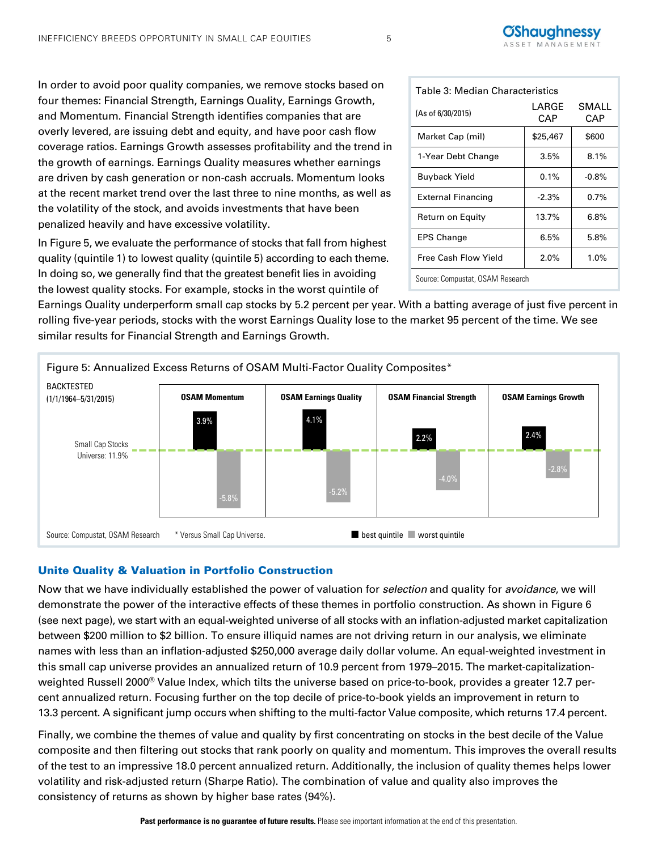**CAP** 

SMALL **CAP** 

Table 3: Median Characteristics (As of 6/30/2015) LARGE

Source: Compustat, OSAM Research

Market Cap (mil) \$25,467 \$600 1-Year Debt Change | 3.5% | 8.1% Buyback Yield  $0.1\%$  -0.8% External Financing  $\vert$  -2.3%  $\vert$  0.7% Return on Equity | 13.7% | 6.8%  $EPS Change$  6.5% 5.8% Free Cash Flow Yield | 2.0% | 1.0%

In order to avoid poor quality companies, we remove stocks based on four themes: Financial Strength, Earnings Quality, Earnings Growth, and Momentum. Financial Strength identifies companies that are overly levered, are issuing debt and equity, and have poor cash flow coverage ratios. Earnings Growth assesses profitability and the trend in the growth of earnings. Earnings Quality measures whether earnings are driven by cash generation or non-cash accruals. Momentum looks at the recent market trend over the last three to nine months, as well as the volatility of the stock, and avoids investments that have been penalized heavily and have excessive volatility.

In Figure 5, we evaluate the performance of stocks that fall from highest quality (quintile 1) to lowest quality (quintile 5) according to each theme. In doing so, we generally find that the greatest benefit lies in avoiding the lowest quality stocks. For example, stocks in the worst quintile of

Earnings Quality underperform small cap stocks by 5.2 percent per year. With a batting average of just five percent in rolling five-year periods, stocks with the worst Earnings Quality lose to the market 95 percent of the time. We see similar results for Financial Strength and Earnings Growth.



# Unite Quality & Valuation in Portfolio Construction

Now that we have individually established the power of valuation for selection and quality for avoidance, we will demonstrate the power of the interactive effects of these themes in portfolio construction. As shown in Figure 6 (see next page), we start with an equal-weighted universe of all stocks with an inflation-adjusted market capitalization between \$200 million to \$2 billion. To ensure illiquid names are not driving return in our analysis, we eliminate names with less than an inflation-adjusted \$250,000 average daily dollar volume. An equal-weighted investment in this small cap universe provides an annualized return of 10.9 percent from 1979–2015. The market-capitalizationweighted Russell 2000® Value Index, which tilts the universe based on price-to-book, provides a greater 12.7 percent annualized return. Focusing further on the top decile of price-to-book yields an improvement in return to 13.3 percent. A significant jump occurs when shifting to the multi-factor Value composite, which returns 17.4 percent.

Finally, we combine the themes of value and quality by first concentrating on stocks in the best decile of the Value composite and then filtering out stocks that rank poorly on quality and momentum. This improves the overall results of the test to an impressive 18.0 percent annualized return. Additionally, the inclusion of quality themes helps lower volatility and risk-adjusted return (Sharpe Ratio). The combination of value and quality also improves the consistency of returns as shown by higher base rates (94%).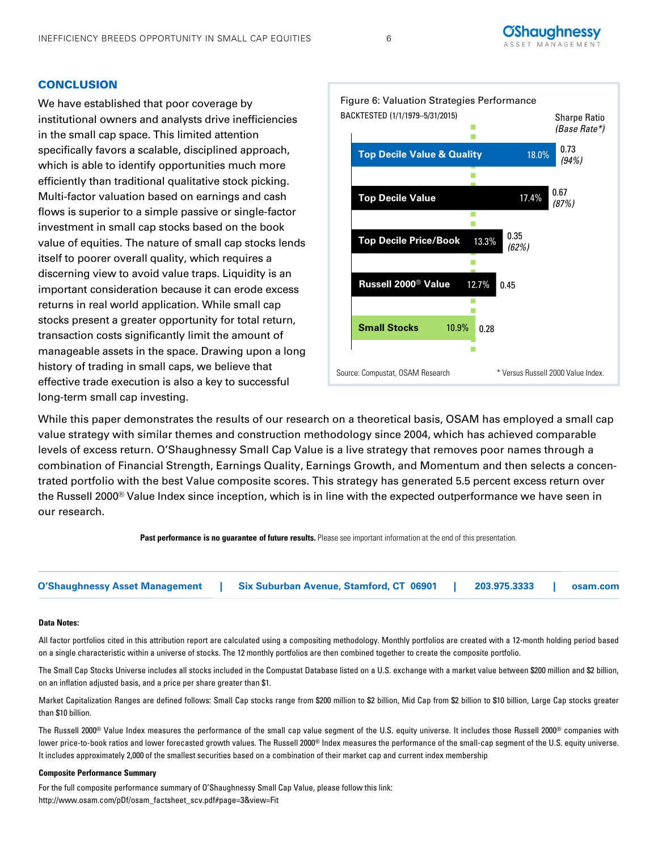#### **CONCLUSION**

We have established that poor coverage by institutional owners and analysts drive inefficiencies in the small cap space. This limited attention specifically favors a scalable, disciplined approach, which is able to identify opportunities much more efficiently than traditional qualitative stock picking. Multi-factor valuation based on earnings and cash flows is superior to a simple passive or single-factor investment in small cap stocks based on the book value of equities. The nature of small cap stocks lends itself to poorer overall quality, which requires a discerning view to avoid value traps. Liquidity is an important consideration because it can erode excess returns in real world application. While small cap stocks present a greater opportunity for total return, transaction costs significantly limit the amount of manageable assets in the space. Drawing upon a long history of trading in small caps, we believe that effective trade execution is also a key to successful long-term small cap investing.



While this paper demonstrates the results of our research on a theoretical basis, OSAM has employed a small cap value strategy with similar themes and construction methodology since 2004, which has achieved comparable levels of excess return. O'Shaughnessy Small Cap Value is a live strategy that removes poor names through a combination of Financial Strength, Earnings Quality, Earnings Growth, and Momentum and then selects a concentrated portfolio with the best Value composite scores. This strategy has generated 5.5 percent excess return over the Russell 2000<sup>®</sup> Value Index since inception, which is in line with the expected outperformance we have seen in our research.



| <b>O'Shaughnessy Asset Management</b> | <b>Six Suburban Avenue, Stamford, CT 06901</b> | 203.975.3333 | osam.com |
|---------------------------------------|------------------------------------------------|--------------|----------|
|                                       |                                                |              |          |

#### **Data Notes:**

All factor portfolios cited in this attribution report are calculated using a compositing methodology. Monthly portfolios are created with a 12-month holding period based on a single characteristic within a universe of stocks. The 12 monthly portfolios are then combined together to create the composite portfolio.

The Small Cap Stocks Universe includes all stocks included in the Compustat Database listed on a U.S. exchange with a market value between \$200 million and \$2 billion, on an inflation adjusted basis, and a price per share greater than \$1.

Market Capitalization Ranges are defined follows: Small Cap stocks range from \$200 million to \$2 billion, Mid Cap from \$2 billion to \$10 billion, Large Cap stocks greater than \$10 billion.

The Russell 2000® Value Index measures the performance of the small cap value segment of the U.S. equity universe. It includes those Russell 2000® companies with lower price-to-book ratios and lower forecasted growth values. The Russell 2000® Index measures the performance of the small-cap segment of the U.S. equity universe. It includes approximately 2,000 of the smallest securities based on a combination of their market cap and current index membership

#### **Composite Performance Summary**

For the full composite performance summary of O'Shaughnessy Small Cap Value, please follow this link: http://www.osam.com/pDf/osam\_factsheet\_scv.pdf#page=3&view=Fit